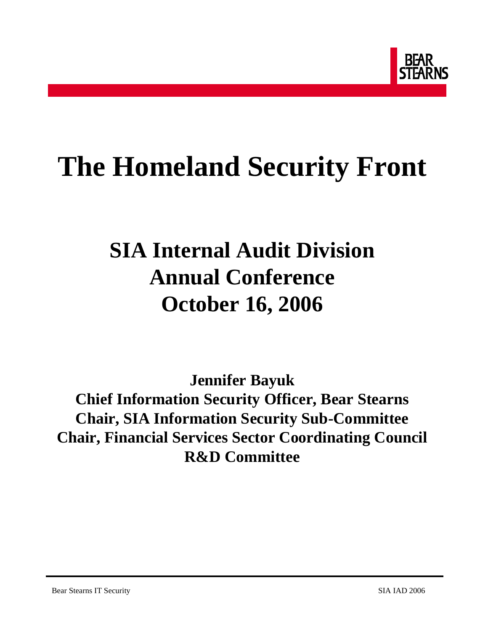

# **The Homeland Security Front**

## **SIA Internal Audit Division Annual Conference October 16, 2006**

**Jennifer Bayuk Chief Information Security Officer, Bear Stearns Chair, SIA Information Security Sub-Committee Chair, Financial Services Sector Coordinating Council R&D Committee**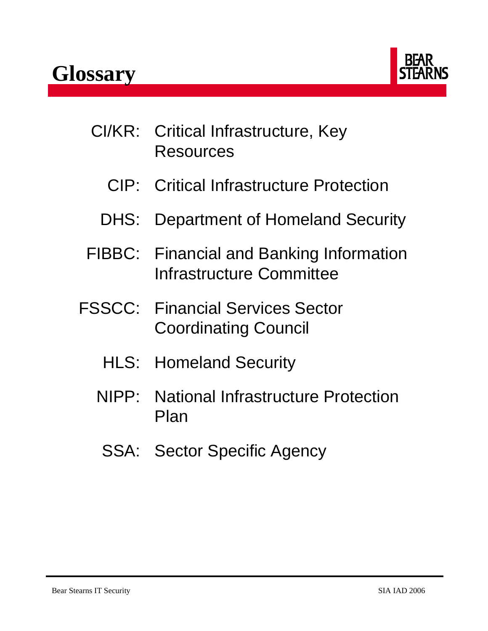

- CI/KR: Critical Infrastructure, Key Resources
	- CIP: Critical Infrastructure Protection
	- DHS: Department of Homeland Security
- FIBBC: Financial and Banking Information Infrastructure Committee
- FSSCC: Financial Services Sector Coordinating Council
	- HLS: Homeland Security
	- NIPP: National Infrastructure Protection Plan
		- SSA: Sector Specific Agency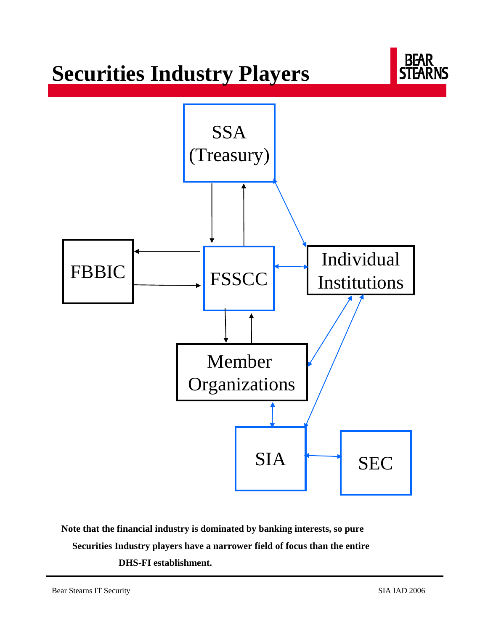### **Securities Industry Players**



**Note that the financial industry is dominated by banking interests, so pure Securities Industry players have a narrower field of focus than the entire DHS-FI establishment.**

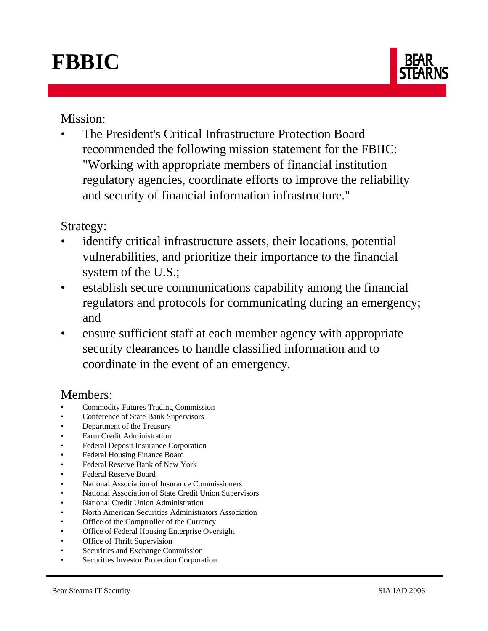## **FBBIC**



Mission:

• The President's Critical Infrastructure Protection Board recommended the following mission statement for the FBIIC: "Working with appropriate members of financial institution regulatory agencies, coordinate efforts to improve the reliability and security of financial information infrastructure."

#### Strategy:

- identify critical infrastructure assets, their locations, potential vulnerabilities, and prioritize their importance to the financial system of the U.S.;
- establish secure communications capability among the financial regulators and protocols for communicating during an emergency; and
- ensure sufficient staff at each member agency with appropriate security clearances to handle classified information and to coordinate in the event of an emergency.

### Members:

- Commodity Futures Trading Commission
- Conference of State Bank Supervisors
- Department of the Treasury
- Farm Credit Administration
- Federal Deposit Insurance Corporation
- Federal Housing Finance Board
- Federal Reserve Bank of New York
- Federal Reserve Board
- National Association of Insurance Commissioners
- National Association of State Credit Union Supervisors
- National Credit Union Administration
- North American Securities Administrators Association
- Office of the Comptroller of the Currency
- Office of Federal Housing Enterprise Oversight
- Office of Thrift Supervision
- Securities and Exchange Commission
- Securities Investor Protection Corporation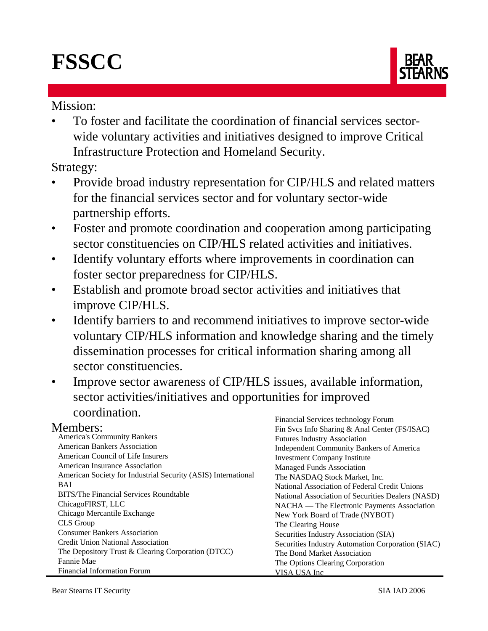## **FSSCC**



#### Mission:

• To foster and facilitate the coordination of financial services sectorwide voluntary activities and initiatives designed to improve Critical Infrastructure Protection and Homeland Security.

Strategy:

- Provide broad industry representation for CIP/HLS and related matters for the financial services sector and for voluntary sector-wide partnership efforts.
- Foster and promote coordination and cooperation among participating sector constituencies on CIP/HLS related activities and initiatives.
- Identify voluntary efforts where improvements in coordination can foster sector preparedness for CIP/HLS.
- Establish and promote broad sector activities and initiatives that improve CIP/HLS.
- Identify barriers to and recommend initiatives to improve sector-wide voluntary CIP/HLS information and knowledge sharing and the timely dissemination processes for critical information sharing among all sector constituencies.
- Improve sector awareness of CIP/HLS issues, available information, sector activities/initiatives and opportunities for improved coordination. Financial Services technology Forum

#### Members:

| Members:                                                      | Fin Svcs Info Sharing & Anal Center (FS/ISAC)     |
|---------------------------------------------------------------|---------------------------------------------------|
| <b>America's Community Bankers</b>                            | <b>Futures Industry Association</b>               |
| <b>American Bankers Association</b>                           | <b>Independent Community Bankers of America</b>   |
| <b>American Council of Life Insurers</b>                      | <b>Investment Company Institute</b>               |
| American Insurance Association                                | <b>Managed Funds Association</b>                  |
| American Society for Industrial Security (ASIS) International | The NASDAQ Stock Market, Inc.                     |
| <b>BAI</b>                                                    | National Association of Federal Credit Unions     |
| BITS/The Financial Services Roundtable                        | National Association of Securities Dealers (NASD) |
| ChicagoFIRST, LLC                                             | NACHA — The Electronic Payments Association       |
| Chicago Mercantile Exchange                                   | New York Board of Trade (NYBOT)                   |
| CLS Group                                                     | The Clearing House                                |
| <b>Consumer Bankers Association</b>                           | Securities Industry Association (SIA)             |
| <b>Credit Union National Association</b>                      | Securities Industry Automation Corporation (SIAC) |
| The Depository Trust & Clearing Corporation (DTCC)            | The Bond Market Association                       |
| Fannie Mae                                                    | The Options Clearing Corporation                  |
| <b>Financial Information Forum</b>                            | VISA USA Inc                                      |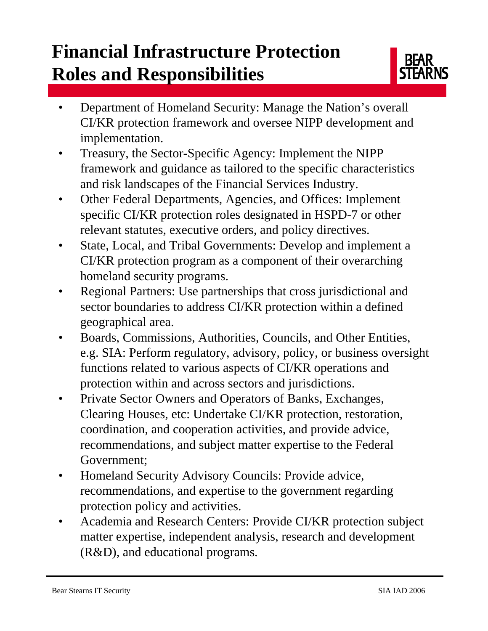### **Financial Infrastructure Protection Roles and Responsibilities**



- Department of Homeland Security: Manage the Nation's overall CI/KR protection framework and oversee NIPP development and implementation.
- Treasury, the Sector-Specific Agency: Implement the NIPP framework and guidance as tailored to the specific characteristics and risk landscapes of the Financial Services Industry.
- Other Federal Departments, Agencies, and Offices: Implement specific CI/KR protection roles designated in HSPD-7 or other relevant statutes, executive orders, and policy directives.
- State, Local, and Tribal Governments: Develop and implement a CI/KR protection program as a component of their overarching homeland security programs.
- Regional Partners: Use partnerships that cross jurisdictional and sector boundaries to address CI/KR protection within a defined geographical area.
- Boards, Commissions, Authorities, Councils, and Other Entities, e.g. SIA: Perform regulatory, advisory, policy, or business oversight functions related to various aspects of CI/KR operations and protection within and across sectors and jurisdictions.
- Private Sector Owners and Operators of Banks, Exchanges, Clearing Houses, etc: Undertake CI/KR protection, restoration, coordination, and cooperation activities, and provide advice, recommendations, and subject matter expertise to the Federal Government;
- Homeland Security Advisory Councils: Provide advice, recommendations, and expertise to the government regarding protection policy and activities.
- Academia and Research Centers: Provide CI/KR protection subject matter expertise, independent analysis, research and development (R&D), and educational programs.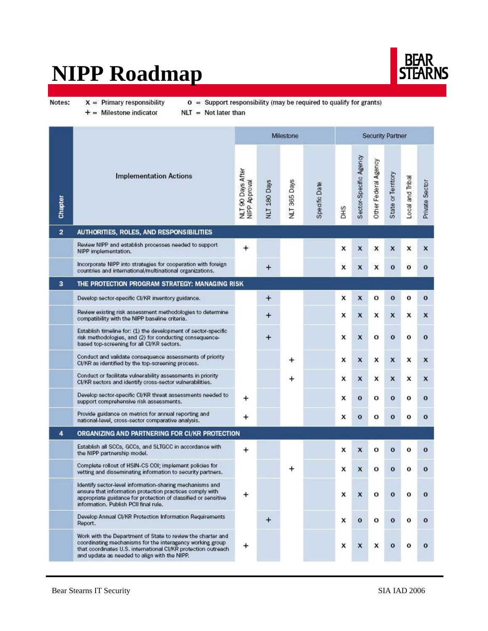### **NIPP Roadmap**



Notes:

 $X =$  Primary responsibility

 $o =$  Support responsibility (may be required to qualify for grants)

 $+$  = Milestone indicator  $NLT = Not later than$ 

|                |                                                                                                                                                                                                                                           |                                    |                     | Milestone           |               | Security Partner |                        |                      |                    |                  |                |  |
|----------------|-------------------------------------------------------------------------------------------------------------------------------------------------------------------------------------------------------------------------------------------|------------------------------------|---------------------|---------------------|---------------|------------------|------------------------|----------------------|--------------------|------------------|----------------|--|
| Chapter        | <b>Implementation Actions</b>                                                                                                                                                                                                             | NLT 90 Days After<br>NIPP Approval | <b>NLT 180 Days</b> | <b>NLT 365 Days</b> | Specific Date | <b>CHO</b>       | Sector-Specific Agency | Other Federal Agency | State or Territory | Local and Tribal | Private Sector |  |
| $\overline{a}$ | AUTHORITIES, ROLES, AND RESPONSIBILITIES                                                                                                                                                                                                  |                                    |                     |                     |               |                  |                        |                      |                    |                  |                |  |
|                | Review NIPP and establish processes needed to support<br>NIPP implementation.                                                                                                                                                             | $\ddot{}$                          |                     |                     |               | x                | x                      | x                    | x                  | x                | x              |  |
|                | Incorporate NIPP into strategies for cooperation with foreign<br>countries and international/multinational organizations.                                                                                                                 |                                    | $\ddot{}$           |                     |               | x                | X                      | x                    | $\mathbf{o}$       | o                | $\mathbf{o}$   |  |
| 3              | THE PROTECTION PROGRAM STRATEGY: MANAGING RISK                                                                                                                                                                                            |                                    |                     |                     |               |                  |                        |                      |                    |                  |                |  |
|                | Develop sector-specific CI/KR inventory guidance.                                                                                                                                                                                         |                                    | $\ddot{}$           |                     |               | x                | X                      | o                    | $\mathbf{o}$       | o                | $\mathbf{o}$   |  |
|                | Review existing risk assessment methodologies to determine<br>compatibility with the NIPP baseline criteria.                                                                                                                              |                                    | $\bm{+}$            |                     |               | x                | X                      | x                    | X                  | x                | X              |  |
|                | Establish timeline for: (1) the development of sector-specific<br>risk methodologies, and (2) for conducting consequence-<br>based top-screening for all CI/KR sectors.                                                                   |                                    | $\ddot{}$           |                     | x             |                  | $\boldsymbol{x}$       | o                    | $\mathbf{o}$       | $\mathbf{o}$     | $\mathbf{o}$   |  |
|                | Conduct and validate consequence assessments of priority<br>CI/KR as identified by the top-screening process.                                                                                                                             |                                    |                     | +                   |               | x                | X                      | x                    | X                  | x                | X              |  |
|                | Conduct or facilitate vulnerability assessments in priority<br>CI/KR sectors and identify cross-sector vulnerabilities.                                                                                                                   |                                    |                     | +                   |               | x                | x                      | x                    | X                  | x                | X              |  |
|                | Develop sector-specific CI/KR threat assessments needed to<br>support comprehensive risk assessments.                                                                                                                                     | +                                  |                     |                     |               | x                | o                      | o                    | $\mathbf{o}$       | o                | o              |  |
|                | Provide guidance on metrics for annual reporting and<br>national-level, cross-sector comparative analysis.                                                                                                                                | +                                  |                     |                     |               | x                | $\mathbf{o}$           | o                    | $\bf{o}$           | o                | o              |  |
| 4              | ORGANIZING AND PARTNERING FOR CI/KR PROTECTION                                                                                                                                                                                            |                                    |                     |                     |               |                  |                        |                      |                    |                  |                |  |
|                | Establish all SCCs, GCCs, and SLTGCC in accordance with<br>the NIPP partnership model.                                                                                                                                                    | +                                  |                     |                     |               | x                | x                      | o                    | $\mathbf{o}$       | о                | о              |  |
|                | Complete rollout of HSIN-CS COI; implement policies for<br>vetting and disseminating information to security partners.                                                                                                                    |                                    |                     |                     |               | x                | X                      | $\mathbf{o}$         | $\mathbf{o}$       | о                | $\mathbf{o}$   |  |
|                | Identify sector-level information-sharing mechanisms and<br>ensure that information protection practices comply with<br>appropriate guidance for protection of classified or sensitive<br>information. Publish PCII final rule.           | +                                  |                     |                     |               | x                | X                      | o                    | $\mathbf{o}$       | $\mathbf{o}$     | о              |  |
|                | Develop Annual CI/KR Protection Information Requirements<br>Report.                                                                                                                                                                       |                                    | $\ddot{}$           |                     |               | x                | $\mathbf{o}$           | o                    | $\mathbf{o}$       | o                | $\mathbf{o}$   |  |
|                | Work with the Department of State to review the charter and<br>coordinating mechanisms for the interagency working group<br>that coordinates U.S. international CI/KR protection outreach<br>and update as needed to align with the NIPP. | +                                  |                     |                     |               | x                | X                      | x                    | $\mathbf{o}$       | o                | $\mathbf{o}$   |  |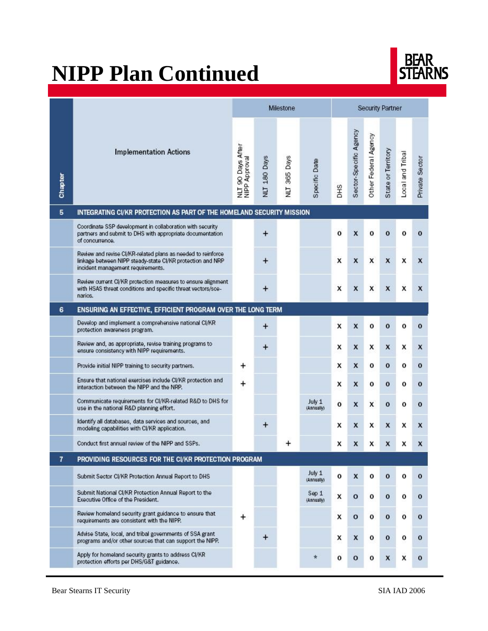## **NIPP Plan Continued**



|                |                                                                                                                                                                 |                                    |                     | Milestone      |                      | <b>Security Partner</b> |                        |                      |                           |                  |                |  |  |  |
|----------------|-----------------------------------------------------------------------------------------------------------------------------------------------------------------|------------------------------------|---------------------|----------------|----------------------|-------------------------|------------------------|----------------------|---------------------------|------------------|----------------|--|--|--|
| Chapter        | <b>Implementation Actions</b>                                                                                                                                   | NLT 90 Days After<br>NIPP Approval | <b>NLT 180 Days</b> | 365 Days<br>ΠN | Specific Date        | <b>CHO</b>              | Sector-Specific Agency | Other Federal Agency | State or Territory        | Local and Tribal | Private Sector |  |  |  |
| 5              | INTEGRATING CI/KR PROTECTION AS PART OF THE HOMELAND SECURITY MISSION                                                                                           |                                    |                     |                |                      |                         |                        |                      |                           |                  |                |  |  |  |
|                | Coordinate SSP development in collaboration with security<br>partners and submit to DHS with appropriate documentation<br>of concurrence.                       |                                    | $\ddot{}$           |                |                      | o                       | $\mathbf x$            | o                    | $\mathbf{o}$              | o                | $\mathbf{o}$   |  |  |  |
|                | Review and revise CI/KR-related plans as needed to reinforce<br>linkage between NIPP steady-state CI/KR protection and NRP<br>incident management requirements. |                                    | $\ddot{}$           |                |                      | X                       | $\pmb{\mathsf{x}}$     | X                    | $\boldsymbol{\mathsf{x}}$ | x                | X              |  |  |  |
|                | Review current CI/KR protection measures to ensure alignment<br>with HSAS threat conditions and specific threat vectors/sce-<br>narios.                         |                                    | $\ddot{}$           |                |                      | x                       | X                      | x                    | $\boldsymbol{x}$          | x                | X              |  |  |  |
| 6              | ENSURING AN EFFECTIVE, EFFICIENT PROGRAM OVER THE LONG TERM                                                                                                     |                                    |                     |                |                      |                         |                        |                      |                           |                  |                |  |  |  |
|                | Develop and implement a comprehensive national CI/KR<br>protection awareness program.                                                                           |                                    | $\ddot{}$           |                |                      | X                       | X                      | o                    | $\mathbf{o}$              | о                | $\mathbf{o}$   |  |  |  |
|                | Review and, as appropriate, revise training programs to<br>ensure consistency with NIPP requirements.                                                           |                                    | $\boldsymbol{+}$    |                |                      | x                       | X                      | x                    | $\boldsymbol{x}$          | x                | X              |  |  |  |
|                | Provide initial NIPP training to security partners.                                                                                                             | +                                  |                     |                |                      | x                       | X                      | o                    | $\bf{0}$                  | о                | $\mathbf{o}$   |  |  |  |
|                | Ensure that national exercises include CI/KR protection and<br>interaction between the NIPP and the NRP.                                                        | +                                  |                     |                |                      | x                       | X                      | o                    | $\mathbf{o}$              | 0                | $\mathbf{o}$   |  |  |  |
|                | Communicate requirements for CI/KR-related R&D to DHS for<br>use in the national R&D planning effort.                                                           |                                    |                     |                | July 1<br>(Annually) | o                       | X                      | x                    | $\bf o$                   | о                | $\mathbf{o}$   |  |  |  |
|                | Identify all databases, data services and sources, and<br>modeling capabilities with CI/KR application.                                                         |                                    | $^{+}$              |                |                      | x                       | X                      | x                    | $\boldsymbol{x}$          | x                | X              |  |  |  |
|                | Conduct first annual review of the NIPP and SSPs.                                                                                                               |                                    |                     |                |                      | x                       | X                      | x                    | X                         | x                | x              |  |  |  |
| $\overline{1}$ | PROVIDING RESOURCES FOR THE CI/KR PROTECTION PROGRAM                                                                                                            |                                    |                     |                |                      |                         |                        |                      |                           |                  |                |  |  |  |
|                | Submit Sector CI/KR Protection Annual Report to DHS                                                                                                             |                                    |                     |                | July 1<br>(Annually) | о                       | X                      | о                    | o                         | о                | o              |  |  |  |
|                | Submit National CI/KR Protection Annual Report to the<br>Executive Office of the President.                                                                     |                                    |                     |                | Sep 1<br>(Annually)  | x                       | $\mathbf{o}$           | o                    | $\bf{0}$                  | о                | o              |  |  |  |
|                | Review homeland security grant guidance to ensure that<br>requirements are consistent with the NIPP.                                                            | $\pmb{+}$                          |                     |                |                      | x                       | $\mathbf{o}$           | o                    | $\bf{0}$                  | о                | $\mathbf{o}$   |  |  |  |
|                | Advise State, local, and tribal governments of SSA grant<br>programs and/or other sources that can support the NIPP.                                            |                                    | $\boldsymbol{+}$    |                |                      | x                       | X                      | о                    | $\mathbf 0$               | о                | $\mathbf o$    |  |  |  |
|                | Apply for homeland security grants to address CI/KR<br>protection efforts per DHS/G&T guidance.                                                                 |                                    |                     |                | $\star$              | o                       | $\mathbf{o}$           | о                    | X                         | x                | 0              |  |  |  |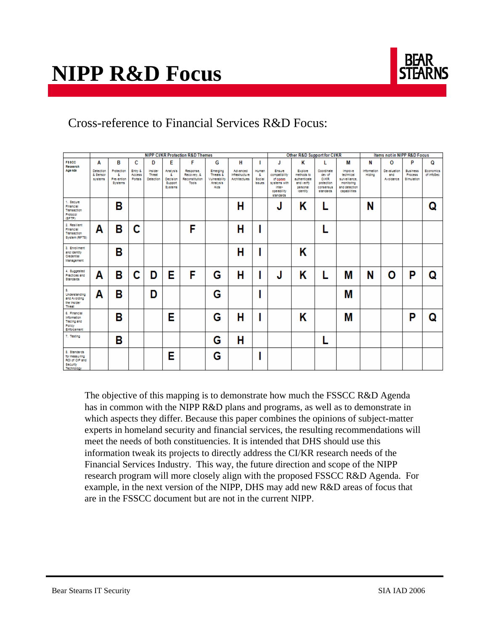

### Cross-reference to Financial Services R&D Focus:

|                                                                                  | <b>NIPP CVKR Protection R&amp;D Themes</b> |                                                  |                                     |                                |                                                                |                                                            |                                                                          |                                                      |                                        |                                                                                                   | Other R&D Support for CVKR                                                         |                                                                       |                                                                                      |                       | Items not in NIPP R&D Focus     |                                          |                         |
|----------------------------------------------------------------------------------|--------------------------------------------|--------------------------------------------------|-------------------------------------|--------------------------------|----------------------------------------------------------------|------------------------------------------------------------|--------------------------------------------------------------------------|------------------------------------------------------|----------------------------------------|---------------------------------------------------------------------------------------------------|------------------------------------------------------------------------------------|-----------------------------------------------------------------------|--------------------------------------------------------------------------------------|-----------------------|---------------------------------|------------------------------------------|-------------------------|
| <b>F&amp;SCC</b><br>Recearch                                                     | А                                          | в                                                | c                                   | D                              | E                                                              | F                                                          | G                                                                        | н                                                    | 1                                      | J                                                                                                 | κ                                                                                  | т                                                                     | M                                                                                    | N                     | O                               | P                                        | O                       |
| Age nda                                                                          | Detection<br>& Sensor<br>systems           | Protection<br>s.<br>Prevention<br><b>Systems</b> | Entry &<br>Access<br><b>Portals</b> | Insider<br>Threat<br>Detection | <b>Analysis</b><br>a.<br>Decision<br>Support<br><b>Systems</b> | Response.<br>Recovery, &<br>Reconstitution<br><b>Tools</b> | Emerging<br>Threats &<br>Vulnerability<br><b>Analysis</b><br><b>Alds</b> | Advanced<br>Initias tructure<br><b>Architectures</b> | Human<br>å.<br>Social<br><b>Issues</b> | <b>Ensure</b><br>compatibility<br>of cocket<br>systems with<br>Inter-<br>operability<br>standards | Explore<br>methods to<br>authenticate<br>and verliy<br>personal<br><b>Identity</b> | Coordinate<br>dev of<br>CIACR<br>protection<br>consensus<br>standards | Improve<br>technical<br>surveillance.<br>monitoring<br>and detection<br>capabilities | Information<br>Hiding | Devaluation<br>and<br>Avoidance | <b>Business</b><br>Process<br>Simulation | Economics<br>of InfoSec |
| 1. Secure<br>Financial<br>Transaction<br>Protocol<br>(SFTP)                      |                                            | B                                                |                                     |                                |                                                                |                                                            |                                                                          | н                                                    |                                        | J                                                                                                 | Κ                                                                                  |                                                                       |                                                                                      | N                     |                                 |                                          | Q                       |
| 2. Resilient<br>Financial<br><b>Transaction</b><br>System (RFTS)                 | Α                                          | в                                                | C                                   |                                |                                                                | F                                                          |                                                                          | н                                                    |                                        |                                                                                                   |                                                                                    |                                                                       |                                                                                      |                       |                                 |                                          |                         |
| 3. Enrollment<br>and Identity<br>Credential<br>Management                        |                                            | B                                                |                                     |                                |                                                                |                                                            |                                                                          | н                                                    |                                        |                                                                                                   | Κ                                                                                  |                                                                       |                                                                                      |                       |                                 |                                          |                         |
| 4. Supposed<br>Practices and<br>Standards                                        | Α                                          | в                                                | C                                   | D                              | Е                                                              | F                                                          | G                                                                        | н                                                    |                                        | J                                                                                                 | Κ                                                                                  | L                                                                     | M                                                                                    | N                     | O                               | P                                        | Q                       |
| 5.<br><b>Understanding</b><br>and Avoiding<br>the Insider<br><b>Threat</b>       | Α                                          | в                                                |                                     | D                              |                                                                |                                                            | G                                                                        |                                                      |                                        |                                                                                                   |                                                                                    |                                                                       | M                                                                                    |                       |                                 |                                          |                         |
| 6. Financial<br>Information<br>Tracing and<br>Policy<br><b>Enforcement</b>       |                                            | B                                                |                                     |                                | E                                                              |                                                            | G                                                                        | н                                                    |                                        |                                                                                                   | Κ                                                                                  |                                                                       | M                                                                                    |                       |                                 | P                                        | Ω                       |
| 7. Testing                                                                       |                                            | в                                                |                                     |                                |                                                                |                                                            | G                                                                        | Н                                                    |                                        |                                                                                                   |                                                                                    |                                                                       |                                                                                      |                       |                                 |                                          |                         |
| 8. Standards<br>for measuring<br>ROI of CIP and<br><b>Security</b><br>Technology |                                            |                                                  |                                     |                                | E                                                              |                                                            | G                                                                        |                                                      |                                        |                                                                                                   |                                                                                    |                                                                       |                                                                                      |                       |                                 |                                          |                         |

The objective of this mapping is to demonstrate how much the FSSCC R&D Agenda has in common with the NIPP R&D plans and programs, as well as to demonstrate in which aspects they differ. Because this paper combines the opinions of subject-matter experts in homeland security and financial services, the resulting recommendations will meet the needs of both constituencies. It is intended that DHS should use this information tweak its projects to directly address the CI/KR research needs of the Financial Services Industry. This way, the future direction and scope of the NIPP research program will more closely align with the proposed FSSCC R&D Agenda. For example, in the next version of the NIPP, DHS may add new R&D areas of focus that are in the FSSCC document but are not in the current NIPP.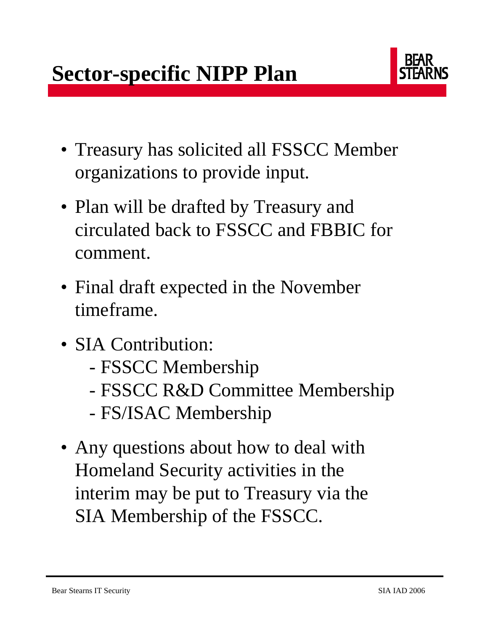

- Treasury has solicited all FSSCC Member organizations to provide input.
- Plan will be drafted by Treasury and circulated back to FSSCC and FBBIC for comment.
- Final draft expected in the November timeframe.
- SIA Contribution:
	- FSSCC Membership
	- FSSCC R&D Committee Membership
	- FS/ISAC Membership
- Any questions about how to deal with Homeland Security activities in the interim may be put to Treasury via the SIA Membership of the FSSCC.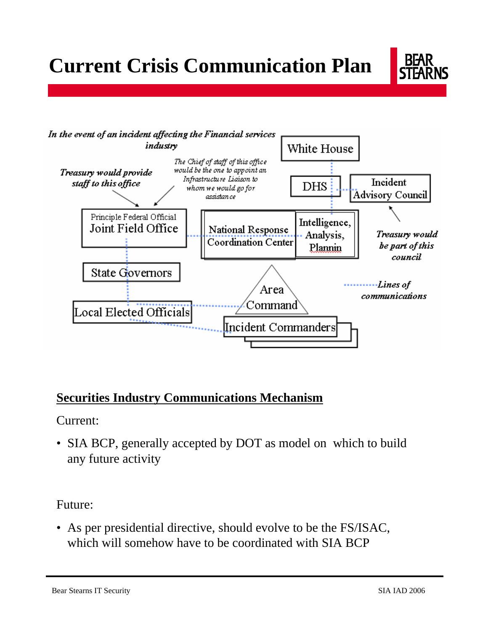



### **Securities Industry Communications Mechanism**

Current:

• SIA BCP, generally accepted by DOT as model on which to build any future activity

Future:

• As per presidential directive, should evolve to be the FS/ISAC, which will somehow have to be coordinated with SIA BCP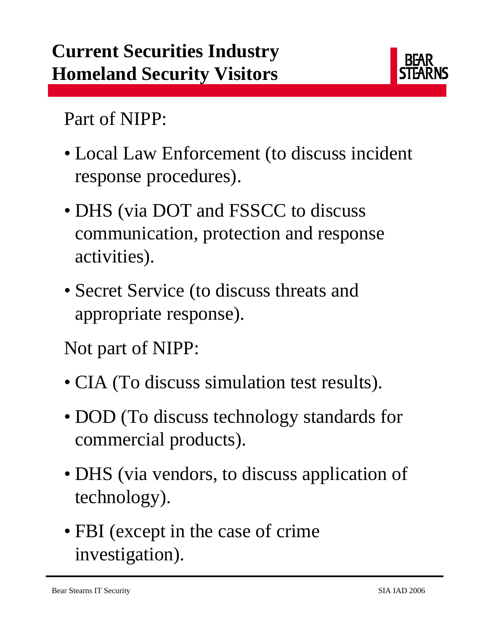

Part of NIPP:

- Local Law Enforcement (to discuss incident response procedures).
- DHS (via DOT and FSSCC to discuss communication, protection and response activities).
- Secret Service (to discuss threats and appropriate response).

Not part of NIPP:

- CIA (To discuss simulation test results).
- DOD (To discuss technology standards for commercial products).
- DHS (via vendors, to discuss application of technology).
- FBI (except in the case of crime investigation).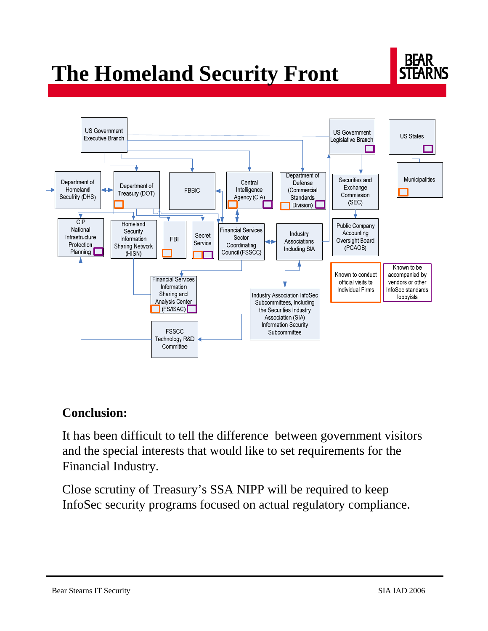## **The Homeland Security Front**





### **Conclusion:**

It has been difficult to tell the difference between government visitors and the special interests that would like to set requirements for the Financial Industry.

Close scrutiny of Treasury's SSA NIPP will be required to keep InfoSec security programs focused on actual regulatory compliance.